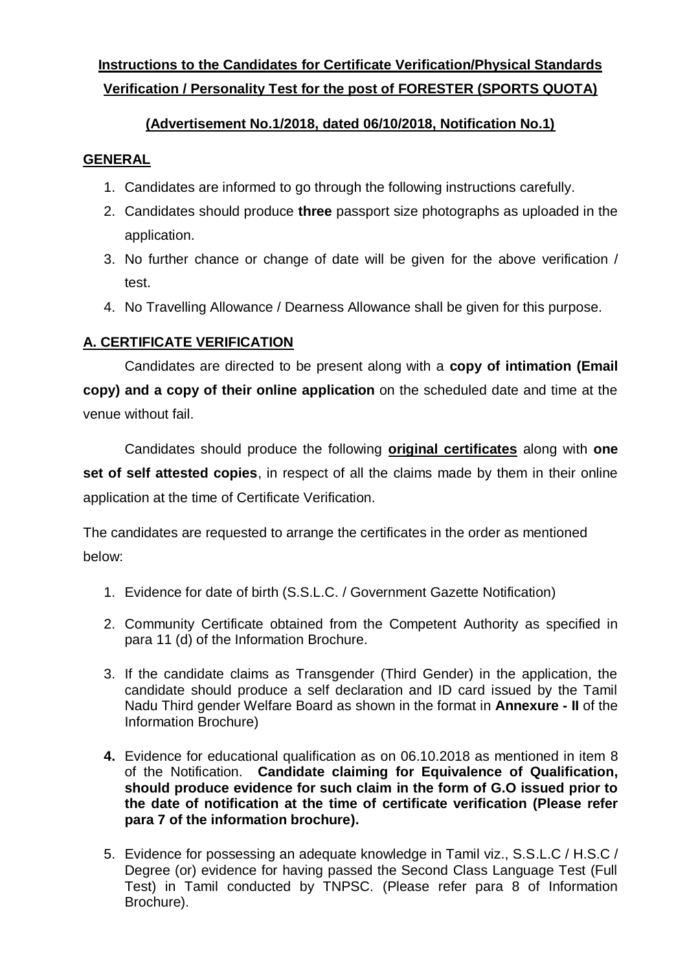# **Instructions to the Candidates for Certificate Verification/Physical Standards Verification / Personality Test for the post of FORESTER (SPORTS QUOTA)**

## **(Advertisement No.1/2018, dated 06/10/2018, Notification No.1)**

### **GENERAL**

- 1. Candidates are informed to go through the following instructions carefully.
- 2. Candidates should produce **three** passport size photographs as uploaded in the application.
- 3. No further chance or change of date will be given for the above verification / test.
- 4. No Travelling Allowance / Dearness Allowance shall be given for this purpose.

### **A. CERTIFICATE VERIFICATION**

Candidates are directed to be present along with a **copy of intimation (Email copy) and a copy of their online application** on the scheduled date and time at the venue without fail.

Candidates should produce the following **original certificates** along with **one set of self attested copies**, in respect of all the claims made by them in their online application at the time of Certificate Verification.

The candidates are requested to arrange the certificates in the order as mentioned below:

- 1. Evidence for date of birth (S.S.L.C. / Government Gazette Notification)
- 2. Community Certificate obtained from the Competent Authority as specified in para 11 (d) of the Information Brochure.
- 3. If the candidate claims as Transgender (Third Gender) in the application, the candidate should produce a self declaration and ID card issued by the Tamil Nadu Third gender Welfare Board as shown in the format in **Annexure - II** of the Information Brochure)
- **4.** Evidence for educational qualification as on 06.10.2018 as mentioned in item 8 of the Notification. **Candidate claiming for Equivalence of Qualification, should produce evidence for such claim in the form of G.O issued prior to the date of notification at the time of certificate verification (Please refer para 7 of the information brochure).**
- 5. Evidence for possessing an adequate knowledge in Tamil viz., S.S.L.C / H.S.C / Degree (or) evidence for having passed the Second Class Language Test (Full Test) in Tamil conducted by TNPSC. (Please refer para 8 of Information Brochure).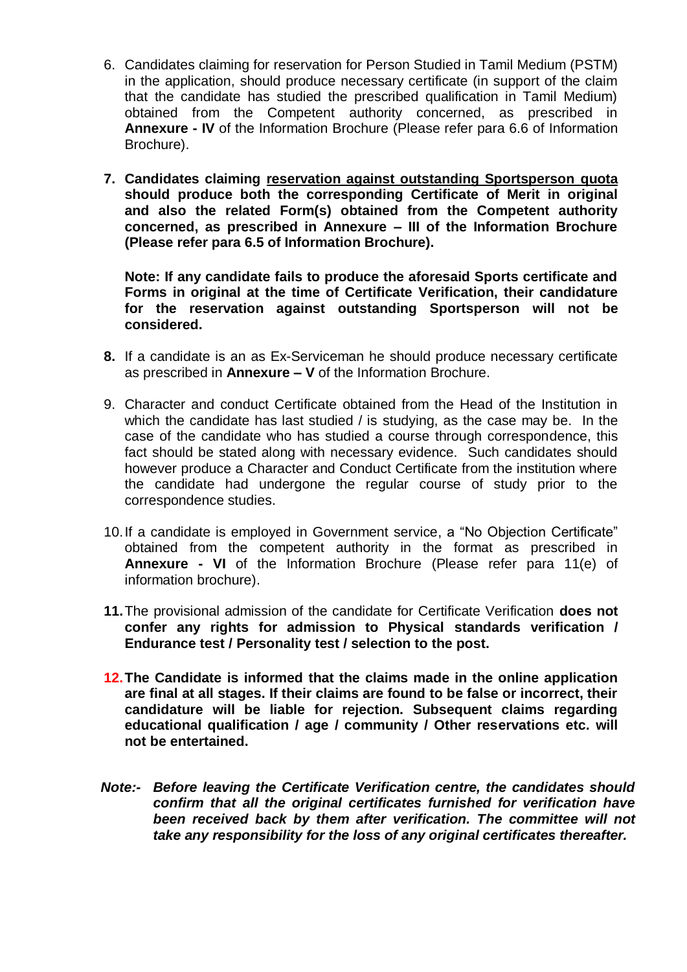- 6. Candidates claiming for reservation for Person Studied in Tamil Medium (PSTM) in the application, should produce necessary certificate (in support of the claim that the candidate has studied the prescribed qualification in Tamil Medium) obtained from the Competent authority concerned, as prescribed in **Annexure - IV** of the Information Brochure (Please refer para 6.6 of Information Brochure).
- **7. Candidates claiming reservation against outstanding Sportsperson quota should produce both the corresponding Certificate of Merit in original and also the related Form(s) obtained from the Competent authority concerned, as prescribed in Annexure – III of the Information Brochure (Please refer para 6.5 of Information Brochure).**

**Note: If any candidate fails to produce the aforesaid Sports certificate and Forms in original at the time of Certificate Verification, their candidature for the reservation against outstanding Sportsperson will not be considered.**

- **8.** If a candidate is an as Ex-Serviceman he should produce necessary certificate as prescribed in **Annexure – V** of the Information Brochure.
- 9. Character and conduct Certificate obtained from the Head of the Institution in which the candidate has last studied / is studying, as the case may be. In the case of the candidate who has studied a course through correspondence, this fact should be stated along with necessary evidence. Such candidates should however produce a Character and Conduct Certificate from the institution where the candidate had undergone the regular course of study prior to the correspondence studies.
- 10.If a candidate is employed in Government service, a "No Objection Certificate" obtained from the competent authority in the format as prescribed in **Annexure - VI** of the Information Brochure (Please refer para 11(e) of information brochure).
- **11.**The provisional admission of the candidate for Certificate Verification **does not confer any rights for admission to Physical standards verification / Endurance test / Personality test / selection to the post.**
- **12.The Candidate is informed that the claims made in the online application are final at all stages. If their claims are found to be false or incorrect, their candidature will be liable for rejection. Subsequent claims regarding educational qualification / age / community / Other reservations etc. will not be entertained.**
- *Note:- Before leaving the Certificate Verification centre, the candidates should confirm that all the original certificates furnished for verification have been received back by them after verification. The committee will not take any responsibility for the loss of any original certificates thereafter.*